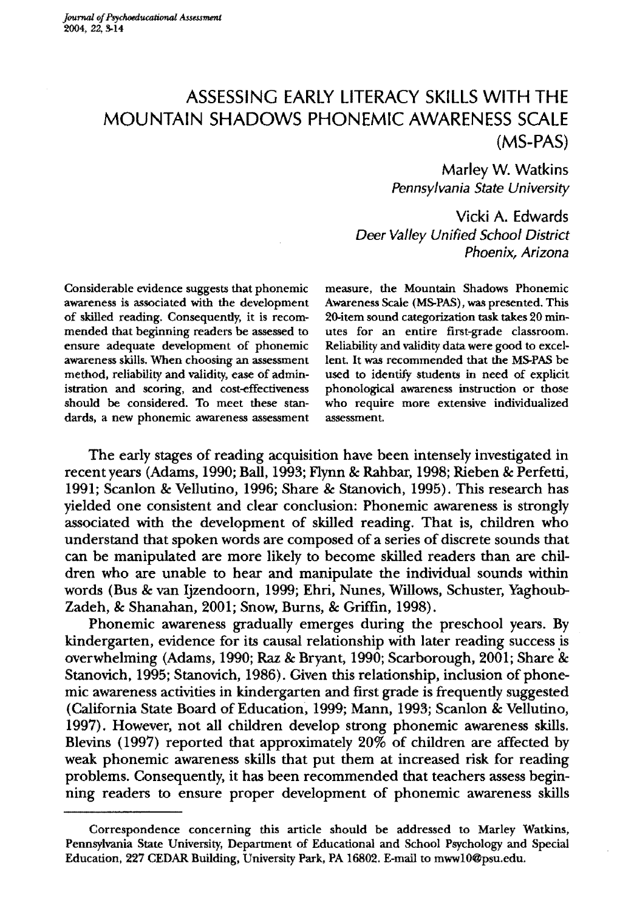# ASSESSING EARLY LITERACY SKILLS **WITH THE**  MOUNTAIN SHADOWS PHONEMIC AWARENESS SCALE (MS-PAS)

Marley W. Watkins *Pennsylvania State University* 

Vicki A. Edwards *Deer Valley Unified School District Phoenix, Arizona* 

Considerable evidence suggests that phonemic awareness is associated with the development of skilled reading. Consequently, it is recommended that beginning readers be assessed to ensure adequate development of phonemic awareness skills. When choosing an assessment method, reliability and validity, ease of administration and scoring, and cost-effectiveness should be considered. To meet these standards, a new phonemic awareness assessment measure, the Mountain Shadows Phonemic Awareness Scale (MS-PAS), was presented. This 20-item sound categorization task takes 20 minutes for an entire first-grade classroom. Reliability and validity data were good to excellent. It was recommended that the MS-PAS be used to identify students in need of explicit phonological awareness instruction or those who require more extensive individualized assessment.

The early stages of reading acquisition have been intensely investigated in recent years (Adams, 1990; Ball, 1993; Flynn & Rahbar, 1998; Rieben & Perfetti, 1991; Scanlon & Vellutino, 1996; Share & Stanovich, 1995). This research has yielded one consistent and clear conclusion: Phonemic awareness is strongly associated with the development of skilled reading. That is, children who understand that spoken words are composed of a series of discrete sounds that can be manipulated are more likely to become skilled readers than are children who are unable to hear and manipulate the individual sounds within words (Bus & van Ijzendoorn, 1999; Ehri, Nunes, Willows, Schuster, Yaghoub-Zadeh, & Shanahan, 2001; Snow, Burns, & Griffin, 1998).

Phonemic awareness gradually emerges during the preschool years. By kindergarten, evidence for its causal relationship with later reading success is overwhelming (Adams, 1990; Raz & Bryant, 1990; Scarborough, 2001; Share & Stanovich, 1995; Stanovich, 1986). Given this relationship, inclusion of phonemic awareness activities in kindergarten and first grade is frequently suggested (California State Board of Education, 1999; Mann, 1993; Scanlon & Vellutino, 1997). However, not all children develop strong phonemic awareness skills. Blevins (1997) reported that approximately 20% of children are affected by weak phonemic awareness skills that put them at increased risk for reading problems. Consequently, it has been recommended that teachers assess beginning readers to ensure proper development of phonemic awareness skills

Correspondence concerning this article should be addressed to Marley Watkins, Pennsylvania State University, Department of Educational and School Psychology and Special Education, 227 CEDAR Building, University Park, PA 16802. E-mail to mwwlO@psu.edu.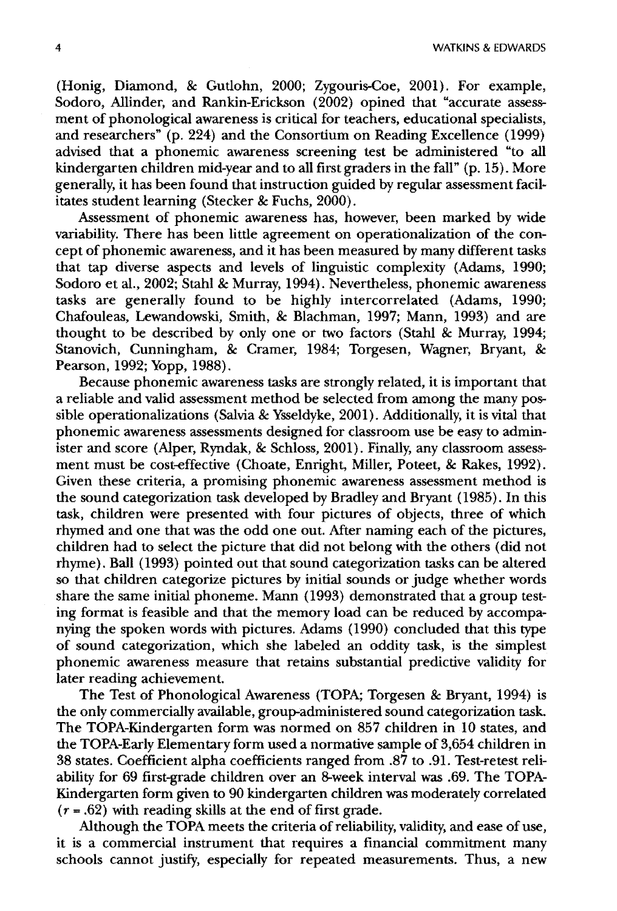4 WATKINS & EDWARDS

(Honig, Diamond, & Gutlohn, 2000; Zygouris-Coe, 2001). For example, Sodoro, Allinder, and Rankin-Erickson (2002) opined that "accurate assessment of phonological awareness is critical for teachers, educational specialists, and researchers" (p. 224) and the Consortium on Reading Excellence (1999) advised that a phonemic awareness screening test be administered "to all kindergarten children mid-year and to all first graders in the fall" (p. 15). More generally, it has been found that instruction guided by regular assessment facilitates student learning (Stecker & Fuchs, 2000).

Assessment of phonemic awareness has, however, been marked by wide variability. There has been little agreement on operationalization of the concept of phonemic awareness, and it has been measured by many different tasks that tap diverse aspects and levels of linguistic complexity (Adams, 1990; Sodoro et al., 2002; Stahl & Murray, 1994). Nevertheless, phonemic awareness tasks are generally found to be highly intercorrelated (Adams, 1990; Chafouleas, Lewandowski, Smith, & Blachman, 1997; Mann, 1993) and are thought to be described by only one or two factors (Stahl & Murray, 1994; Stanovich, Cunningham, & Cramer, 1984; Torgesen, Wagner, Bryant, & Pearson, 1992; Yopp, 1988).

Because phonemic awareness tasks are strongly related, it is important that a reliable and valid assessment method be selected from among the many possible operationalizations (Salvia & Ysseldyke, 2001). Additionally, it is vital that phonemic awareness assessments designed for classroom use be easy to administer and score (Alper, Ryndak, & Schloss, 2001). Finally, any classroom assessment must be cost-effective (Choate, Enright, Miller, Poteet, & Rakes, 1992). Given these criteria, a promising phonemic awareness assessment method is the sound categorization task developed by Bradley and Bryant (1985). In this task, children were presented with four pictures of objects, three of which rhymed and one that was the odd one out. Mter naming each of the pictures, children had to select the picture that did not belong with the others (did not rhyme). Ball (1993) pointed out that sound categorization tasks can be altered so that children categorize pictures by initial sounds or judge whether words share the same initial phoneme. Mann (1993) demonstrated that a group testing format is feasible and that the memory load can be reduced by accompanying the spoken words with pictures. Adams (1990) concluded that this type of sound categorization, which she labeled an oddity task, is the simplest phonemic awareness measure that retains substantial predictive validity for later reading achievement.

The Test of Phonological Awareness (TOPA; Torgesen & Bryant, 1994) is the only commercially available, group-administered sound categorization task. The TOPA-Kindergarten form was normed on 857 children in 10 states, and the TOPA-Early Elementary form used a normative sample of 3,654 children in 38 states. Coefficient alpha coefficients ranged from .87 to .91. Test-retest reliability for 69 first-grade children over an 8-week interval was .69. The TOPA-Kindergarten form given to 90 kindergarten children was moderately correlated  $(r = .62)$  with reading skills at the end of first grade.

Although the TOPA meets the criteria of reliability, validity, and ease of use, it is a commercial instrument that requires a financial commitment many schools cannot justify, especially for repeated measurements. Thus, a new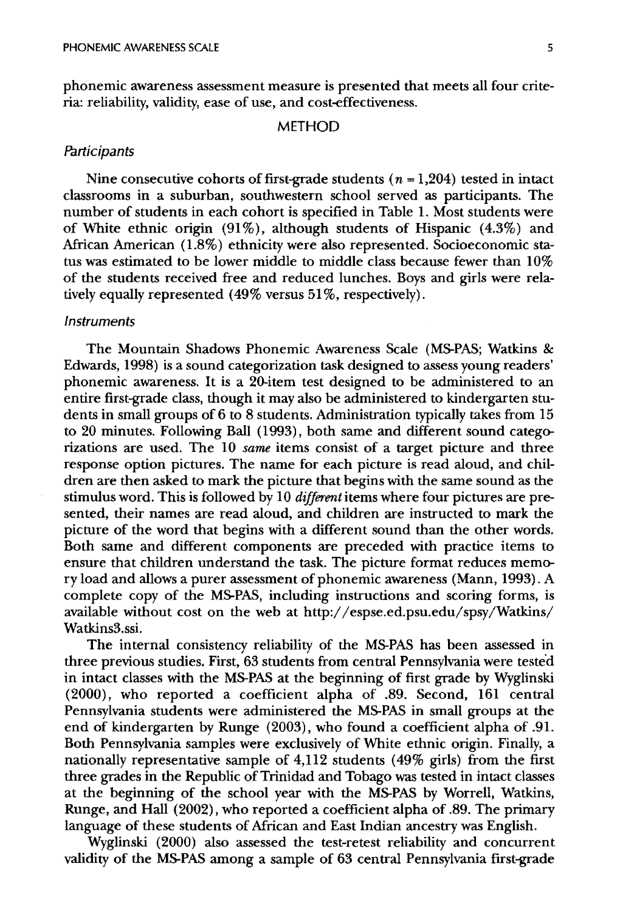phonemic awareness assessment measure is presented that meets all four criteria: reliability, validity, ease of use, and cost-effectiveness.

### METHOD

### **Participants**

Nine consecutive cohorts of first-grade students ( $n = 1,204$ ) tested in intact classrooms in a suburban, southwestern school served as participants. The number of students in each cohort is specified in Table 1. Most students were of White ethnic origin  $(91\%)$ , although students of Hispanic  $(4.3\%)$  and African American (1.8%) ethnicity were also represented. Socioeconomic status was estimated to be lower middle to middle class because fewer than 10% of the students received free and reduced lunches. Boys and girls were relatively equally represented  $(49\%$  versus  $51\%$ , respectively).

#### **Instruments**

The Mountain Shadows Phonemic Awareness Scale (MS-PAS; Watkins & Edwards, 1998) is a sound categorization task designed to assess young readers' phonemic awareness. It is a 20-item test designed to be administered to an entire first-grade class, though it may also be administered to kindergarten students in small groups of 6 to 8 students. Administration typically takes from 15 to 20 minutes. Following Ball (1993), both same and different sound categorizations are used. The 10 *same* items consist of a target picture and three response option pictures. The name for each picture is read aloud, and children are then asked to mark the picture that begins with the same sound as the stimulus word. This is followed by 10 *different* items where four pictures are presented, their names are read aloud, and children are instructed to mark the picture of the word that begins with a different sound than the other words. Both same and different components are preceded with practice items to ensure that children understand the task. The picture format reduces memory load and allows a purer assessment of phonemic awareness (Mann, 1993). A complete copy of the MS-PAS, including instructions and scoring forms, is available without cost on the web at http://espse.ed.psu.edu/spsy/Watkins/ Watkins3.ssi.

The internal consistency reliability of the MS-PAS has been assessed in three previous studies. First, 63 students from central Pennsylvania were tested in intact classes with the MS-PAS at the beginning of first grade by Wyglinski (2000), who reported a coefficient alpha of .89. Second, 161 central Pennsylvania students were administered the MS-PAS in small groups at the end of kindergarten by Runge (2003), who found a coefficient alpha of .91. Both Pennsylvania samples were exclusively of White ethnic origin. Finally, a nationally representative sample of 4,112 students (49% girls) from the first three grades in the Republic of Trinidad and Tobago was tested in intact classes at the beginning of the school year with the MS-PAS by Worrell, Watkins, Runge, and Hall (2002), who reported a coefficient alpha of .89. The primary language of these students of Mrican and East Indian ancestry was English.

Wyglinski (2000) also assessed the test-retest reliability and concurrent validity of the MS-PAS among a sample of 63 central Pennsylvania first-grade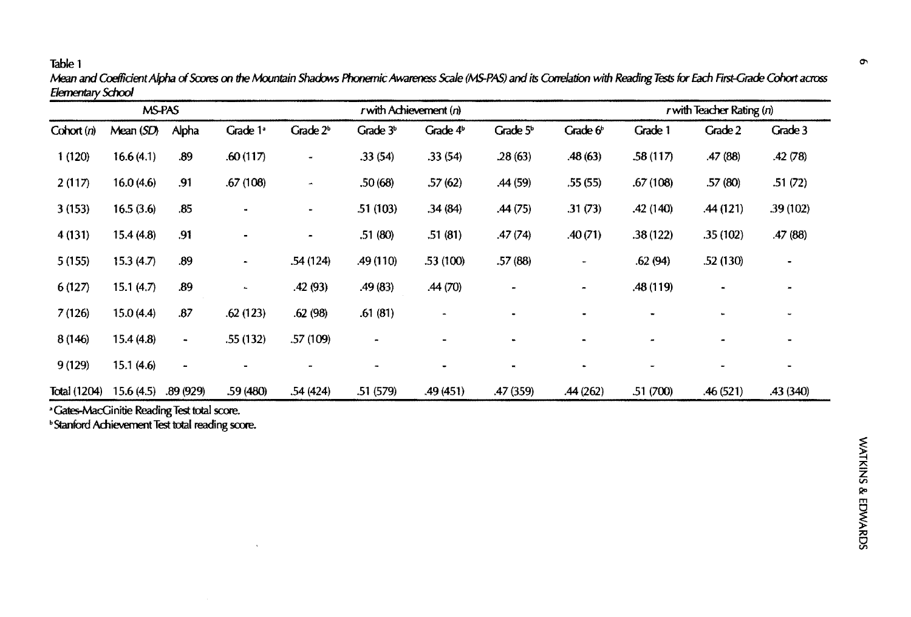Table 1 '" *Mean and* Coeflident *Alpha* of Scores on *the* Ivfountain Shacbws Phonemic Awareness *Scale (MS-PAS)* and *its Correlation with Reading Tests* for Each First-Grade Cohort across Elementary School

| MS-PAS       |           |                          |                     | $r$ with Achievement $(n)$ |                |            |                | $r$ with Teacher Rating $(n)$ |           |           |           |
|--------------|-----------|--------------------------|---------------------|----------------------------|----------------|------------|----------------|-------------------------------|-----------|-----------|-----------|
| Cohort (n)   | Mean(SD)  | Alpha                    | Grade $1^{\circ}$   | Grade $2b$                 | Grade $3b$     | Grade $4b$ | Grade $5b$     | Grade $6b$                    | Grade 1   | Grade 2   | Grade 3   |
| 1(120)       | 16.6(4.1) | .89                      | .60(117)            | ۰                          | .33(54)        | .33(54)    | 28(63)         | .48(63)                       | .58 (117) | .47(88)   | .42(78)   |
| 2(117)       | 16.0(4.6) | .91                      | .67(108)            | $\blacksquare$             | .50 (68)       | .57(62)    | .44 (59)       | .55(55)                       | .67(108)  | .57 (80)  | .51(72)   |
| 3(153)       | 16.5(3.6) | .85                      |                     |                            | 51 (103)       | .34(84)    | .44(75)        | .31(73)                       | .42(140)  | .44(121)  | .39(102)  |
| 4(131)       | 15.4(4.8) | .91                      |                     | $\hbox{\small -}$          | .51(80)        | .51(81)    | .47(74)        | .40(71)                       | .38(122)  | .35(102)  | .47(88)   |
| 5(155)       | 15.3(4.7) | .89                      | $\hat{\phantom{a}}$ | .54(124)                   | .49(110)       | .53(100)   | .57(88)        | ۰                             | .62(94)   | .52(130)  |           |
| 6(127)       | 15.1(4.7) | .89                      | $\blacksquare$      | .42(93)                    | .49(83)        | .44(70)    | $\overline{a}$ | $\overline{a}$                | .48 (119) | $\bullet$ |           |
| 7(126)       | 15.0(4.4) | .87                      | .62(123)            | .62(98)                    | .61(81)        |            |                |                               |           |           |           |
| 8(146)       | 15.4(4.8) | $\blacksquare$           | .55(132)            | .57(109)                   | $\blacksquare$ |            |                |                               |           |           |           |
| 9(129)       | 15.1(4.6) | $\overline{\phantom{a}}$ |                     |                            | $\overline{a}$ |            | $\blacksquare$ |                               |           |           |           |
| Total (1204) | 15.6(4.5) | .89(929)                 | .59(480)            | .54(424)                   | .51(579)       | .49 (451)  | .47 (359)      | .44(262)                      | .51 (700) | .46 (521) | .43 (340) |

• Gates-MacGinitie Reading Test total score.

bStanford Adlievement Test inial reading score.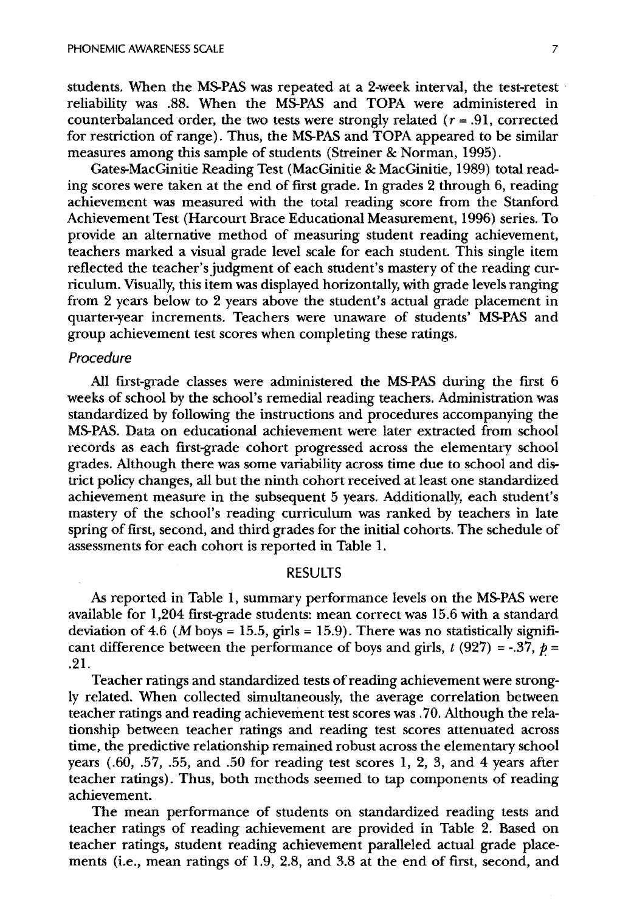students. When the MS-PAS was repeated at a 2-week interval, the test-retest  $\cdot$ reliability was .88. When the MS-PAS and TOPA were administered in counterbalanced order, the two tests were strongly related  $(r = .91,$  corrected for restriction of range). Thus, the MS-PAS and TOPA appeared to be similar measures among this sample of students (Streiner & Norman, 1995).

Gates-MacGinitie Reading Test (MacGinitie & MacGinitie, 1989) total reading scores were taken at the end of first grade. In grades 2 through 6, reading achievement was measured with the total reading score from the Stanford Achievement Test (Harcourt Brace Educational Measurement, 1996) series. To provide an alternative method of measuring student reading achievement, teachers marked a visual grade level scale for each student. This single item reflected the teacher's judgment of each student's mastery of the reading curriculum. Visually, this item was displayed horizontally, with grade levels ranging from 2 years below to 2 years above the student's actual grade placement in quarter-year increments. Teachers were unaware of students' MS-PAS and group achievement test scores when completing these ratings.

# Procedure

All first-grade classes were administered the MS-PAS during the first 6 weeks of school by the school's remedial reading teachers. Administration was standardized by following the instructions and procedures accompanying the MS-PAS. Data on educational achievement were later extracted from school records as each first-grade cohort progressed across the elementary school grades. Although there was some variability across time due to school and district policy changes, all but the ninth cohort received at least one standardized achievement measure in the subsequent 5 years. Additionally, each student's mastery of the school's reading curriculum was ranked by teachers in late spring of first, second, and third grades for the initial cohorts. The schedule of assessments for each cohort is reported in Table 1.

## RESULTS

As reported in Table 1, summary performance levels on the MS-PAS were available for 1,204 first-grade students: mean correct was 15.6 with a standard deviation of 4.6 (*M* boys = 15.5, girls = 15.9). There was no statistically significant difference between the performance of boys and girls,  $t$  (927) = -.37,  $p =$ .21.

Teacher ratings and standardized tests of reading achievement were strongly related. When collected simultaneously, the average correlation between teacher ratings and reading achievement test scores was .70. Although the relationship between teacher ratings and reading test scores attenuated across time, the predictive relationship remained robust across the elementary school years  $(.60, .57, .55,$  and  $.50$  for reading test scores 1, 2, 3, and 4 years after teacher ratings). Thus, both methods seemed to tap components of reading achievement.

The mean performance of students on standardized reading tests and teacher ratings of reading achievement are provided in Table 2. Based on teacher ratings, student reading achievement paralleled actual grade placements (i.e., mean ratings of 1.9, 2.8, and 3.8 at the end of first, second, and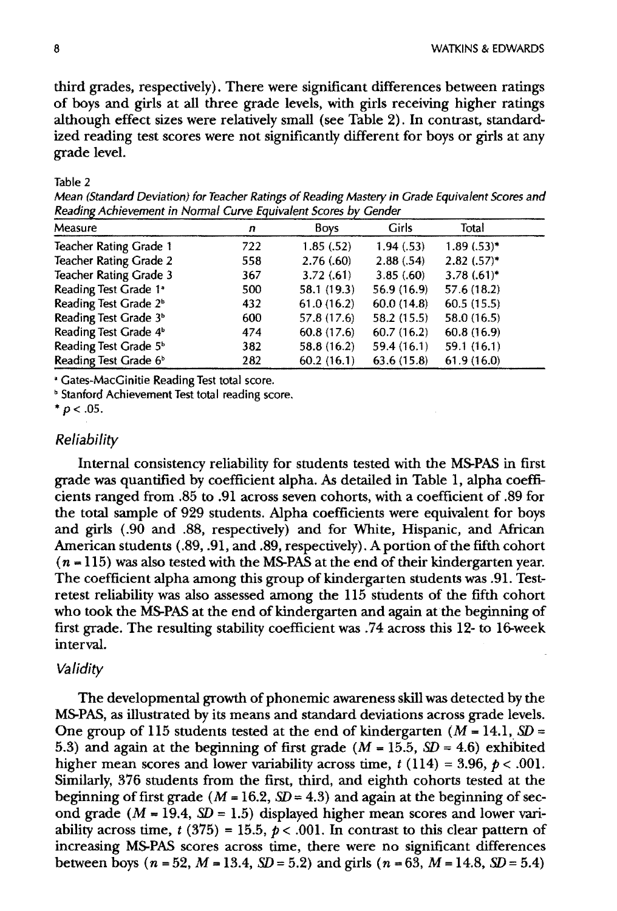third grades, respectively). There were significant differences between ratings of boys and girls at all three grade levels, with girls receiving higher ratings although effect sizes were relatively small (see Table 2). In contrast, standardized reading test scores were not significantly different for boys or girls at any grade level.

#### Table 2

Mean (Standard Deviation) for Teacher Ratings of Reading Mastery in Grade Equivalent Scores and Reading Achievement in Normal Curve Equivalent Scores by Gender

| Measure                           | n   | Boys        | Girls       | Total         |
|-----------------------------------|-----|-------------|-------------|---------------|
| Teacher Rating Grade 1            | 722 | 1.85(.52)   | 1.94(.53)   | $1.89(.53)*$  |
| Teacher Rating Grade 2            | 558 | 2.76(.60)   | 2.88(.54)   | $2.82(.57)$ * |
| Teacher Rating Grade 3            | 367 | 3.72(.61)   | 3.85(.60)   | $3.78(.61)$ * |
| Reading Test Grade 1 <sup>ª</sup> | 500 | 58.1 (19.3) | 56.9 (16.9) | 57.6(18.2)    |
| Reading Test Grade 2 <sup>b</sup> | 432 | 61.0(16.2)  | 60.0(14.8)  | 60.5(15.5)    |
| Reading Test Grade 3 <sup>b</sup> | 600 | 57.8 (17.6) | 58.2 (15.5) | 58.0 (16.5)   |
| Reading Test Grade 4 <sup>b</sup> | 474 | 60.8(17.6)  | 60.7(16.2)  | 60.8(16.9)    |
| Reading Test Grade 5 <sup>b</sup> | 382 | 58.8 (16.2) | 59.4 (16.1) | 59.1 (16.1)   |
| Reading Test Grade 6 <sup>b</sup> | 282 | 60.2(16.1)  | 63.6(15.8)  | 61.9(16.0)    |

, Gates-MacGinitie Reading Test total score.

**b** Stanford Achievement Test total reading score.

 $* p < .05$ .

### *Reliability*

Internal consistency reliability for students tested with the MS-PAS in first grade was quantified by coefficient alpha. As detailed in Table 1, alpha coefficients ranged from .85 to .91 across seven cohorts, with a coefficient of .89 for the total sample of 929 students. Alpha coefficients were equivalent for boys and girls (.90 and .88, respectively) and for White, Hispanic, and African American students (.89, .91, and .89, respectively). A portion of the fifth cohort  $(n = 115)$  was also tested with the MS-PAS at the end of their kindergarten year. The coefficient alpha among this group of kindergarten students was .91. Testretest reliability was also assessed among the 115 students of the fifth cohort who took the MS-PAS at the end of kindergarten and again at the beginning of first grade. The resulting stability coefficient was .74 across this 12- to 16-week interval.

#### *Validity*

The developmental growth of phonemic awareness skill was detected by the MS-PAS, as illustrated by its means and standard deviations across grade levels. One group of 115 students tested at the end of kindergarten  $(M = 14.1, SD =$ 5.3) and again at the beginning of first grade  $(M = 15.5, SD = 4.6)$  exhibited higher mean scores and lower variability across time,  $t(114) = 3.96$ ,  $p < .001$ . Similarly, 376 students from the first, third, and eighth cohorts tested at the beginning of first grade ( $M = 16.2$ ,  $SD = 4.3$ ) and again at the beginning of second grade  $(M = 19.4, SD = 1.5)$  displayed higher mean scores and lower variability across time,  $t$  (375) = 15.5,  $p < .001$ . In contrast to this clear pattern of increasing MS-PAS scores across time, there were no significant differences between boys ( $n = 52$ ,  $M = 13.4$ ,  $SD = 5.2$ ) and girls ( $n = 63$ ,  $M = 14.8$ ,  $SD = 5.4$ )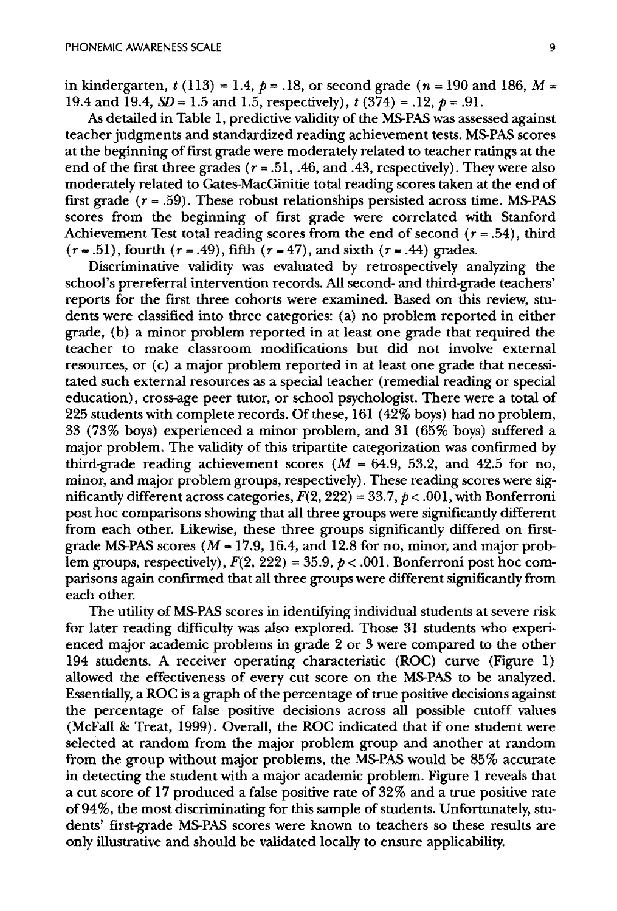in kindergarten,  $t(113) = 1.4$ ,  $p = .18$ , or second grade (n = 190 and 186, M = 19.4 and 19.4,  $SD = 1.5$  and 1.5, respectively),  $t(374) = .12$ ,  $p = .91$ .

As detailed in Table 1, predictive validity of the MS-PAS was assessed against teacher judgments and standardized reading achievement tests. MS-PAS scores at the beginning of first grade were moderately related to teacher ratings at the end of the first three grades  $(r = .51, .46, \text{ and } .43, \text{ respectively})$ . They were also moderately related to Gates-MacGinitie total reading scores taken at the end of first grade  $(r = .59)$ . These robust relationships persisted across time. MS-PAS scores from the beginning of first grade were correlated with Stanford Achievement Test total reading scores from the end of second  $(r=.54)$ , third  $(r = .51)$ , fourth  $(r = .49)$ , fifth  $(r = 47)$ , and sixth  $(r = .44)$  grades.

Discriminative validity was evaluated by retrospectively analyzing the school's prereferral intervention records. All second- and third-grade teachers' reports for the first three cohorts were examined. Based on this review, students were classified into three categories: (a) no problem reported in either grade, (b) a minor problem reported in at least one grade that required the teacher to make classroom modifications but did not involve external resources, or (c) a major problem reported in at least one grade that necessitated such external resources as a special teacher (remedial reading or special education), cross-age peer tutor, or school psychologist. There were a total of 225 students with complete records. Of these, 161 (42% boys) had no problem, 33 (73% boys) experienced a minor problem, and 31 (65% boys) suffered a major problem. The validity of this tripartite categorization was confirmed by third-grade reading achievement scores ( $M = 64.9, 53.2,$  and 42.5 for no, minor, and major problem groups, respectively). These reading scores were significantly different across categories,  $\hat{F}(2, 222) = 33.7$ ,  $p < .001$ , with Bonferroni post hoc comparisons showing that all three groups were significantly different from each other. Likewise, these three groups significantly differed on firstgrade MS-PAS scores ( $M = 17.9$ , 16.4, and 12.8 for no, minor, and major problem groups, respectively),  $F(2, 222) = 35.9$ ,  $p < .001$ . Bonferroni post hoc comparisons again confirmed that all three groups were different significantly from each other.

The utility of MS-PAS scores in identifying individual students at severe risk for later reading difficulty was also explored. Those 31 students who experienced major academic problems in grade 2 or 3 were compared to the other 194 students. A receiver operating characteristic (ROC) curve (Figure 1) allowed the effectiveness of every cut score on the MS-PAS to be analyzed. Essentially, a ROC is a graph of the percentage of true positive decisions against the percentage of false positive decisions across all possible cutoff values (McFall & Treat, 1999). Overall, the ROC indicated that if one student were selected at random from the major problem group and another at random from the group without major problems, the MS-PAS would be 85% accurate in detecting the student with a major academic problem. Figure 1 reveals that a cut score of 17 produced a false positive rate of 32% and a true positive rate of94%, the most discriminating for this sample of students. Unfortunately, students' first-grade MS-PAS scores were known to teachers so these results are only illustrative and should be validated locally to ensure applicability.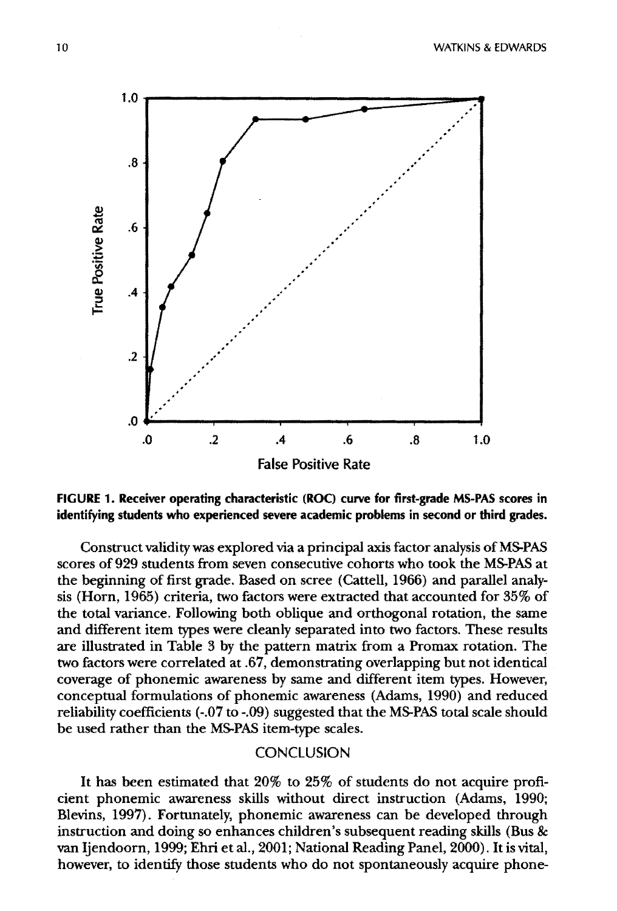

FIGURE 1. Receiver operating characteristic (ROC) curve for first-grade MS-PAS scores in identifying students who experienced severe academic problems in second or third grades.

Construct validity was explored via a principal axis factor analysis of MS-PAS scores of 929 students from seven consecutive cohorts who took the MS-PAS at the beginning of first grade. Based on scree (Cattell, 1966) and parallel analysis (Horn, 1965) criteria, two factors were extracted that accounted for 35% of the total variance. Following both oblique and orthogonal rotation, the same and different item types were cleanly separated into two factors. These results are illustrated in Table 3 by the pattern matrix from a Promax rotation. The two factors were correlated at .67, demonstrating overlapping but not identical coverage of phonemic awareness by same and different item types. However, conceptual formulations of phonemic awareness (Adams, 1990) and reduced reliability coefficients (-.07 to -.09) suggested that the MS-PAS total scale should be used rather than the MS-PAS item-type scales.

# **CONCLUSION**

It has been estimated that 20% to 25% of students do not acquire proficient phonemic awareness skills without direct instruction (Adams, 1990; Blevins, 1997). Fortunately, phonemic awareness can be developed through instruction and doing so enhances children's subsequent reading skills (Bus & van Ijendoorn, 1999; Ehri et al., 2001; National Reading Panel, 2000). It is vital, however, to identify those students who do not spontaneously acquire phone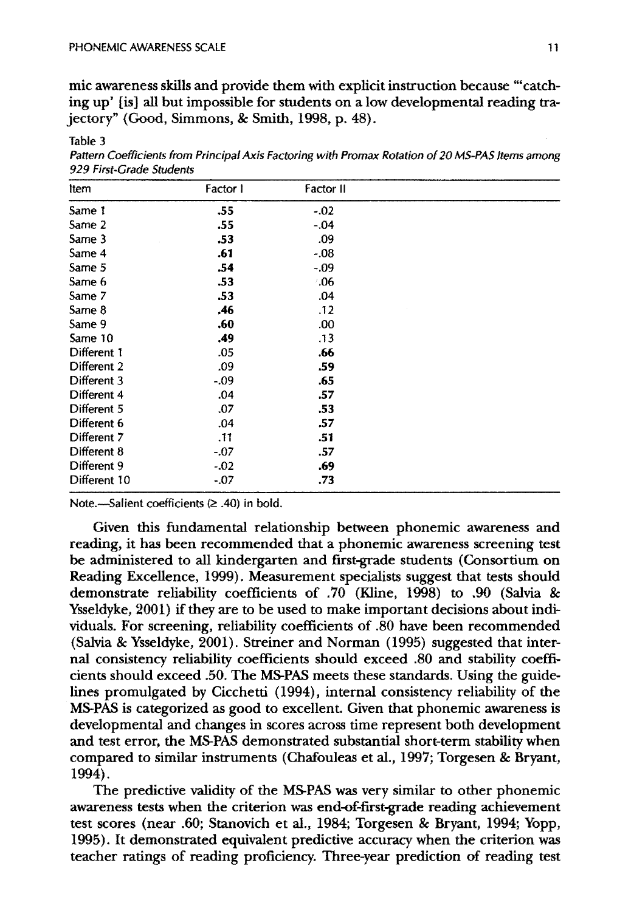Table 3

mic awareness skills and provide them with explicit instruction because "'catching up' [is] all but impossible for students on a low developmental reading trajectory" (Good, Simmons, & Smith, 1998, p. 48).

| Factor I | Factor II     |  |
|----------|---------------|--|
| .55      | $-.02$        |  |
| .55      | $-04$         |  |
| .53      | .09           |  |
| .61      | $-.08$        |  |
| .54      | $-.09$        |  |
| .53      | $^{\circ}.06$ |  |
| .53      | .04           |  |
| .46      | .12           |  |
| .60      | .00           |  |
| .49      | .13           |  |
| .05      | .66           |  |
| .09      | .59           |  |
| $-.09$   | .65           |  |
| .04      | .57           |  |
| .07      | .53           |  |
| .04      | .57           |  |
| .11      | .51           |  |
| $-.07$   | .57           |  |
| $-.02$   | .69           |  |
| $-.07$   | .73           |  |
|          |               |  |

Pattern Coefficients from Principal Axis Factoring with Promax Rotation of 20 MS-PAS Items among 929 First-Grade Students

Note.-Salient coefficients  $(≥ .40)$  in bold.

Given this fundamental relationship between phonemic awareness and reading, it has been recommended that a phonemic awareness screening test be administered to all kindergarten and first-grade students (Consortium on Reading Excellence, 1999). Measurement specialists suggest that tests should demonstrate reliability coefficients of .70 (Kline, 1998) to .90 (Salvia & Ysseldyke, 2001) if they are to be used to make important decisions about individuals. For screening, reliability coefficients of .80 have been recommended (Salvia & Ysseldyke, 2001). Streiner and Norman (1995) suggested that internal consistency reliability coefficients should exceed .80 and stability coefficients should exceed .50. The MS-PAS meets these standards. Using the guidelines promulgated by Cicchetti (1994), internal consistency reliability of the MS-PAS is categorized as good to excellent. Given that phonemic awareness is developmental and changes in scores across time represent both development and test error, the MS-PAS demonstrated substantial short-term stability when compared to similar instruments (Chafouleas et al., 1997; Torgesen & Bryant, 1994).

The predictive validity of the MS-PAS was very similar to other phonemic awareness tests when the criterion was end-of-first-grade reading achievement test scores (near .60; Stanovich et al., 1984; Torgesen & Bryant, 1994; Yopp, 1995). It demonstrated equivalent predictive accuracy when the criterion was teacher ratings of reading proficiency. Three-year prediction of reading test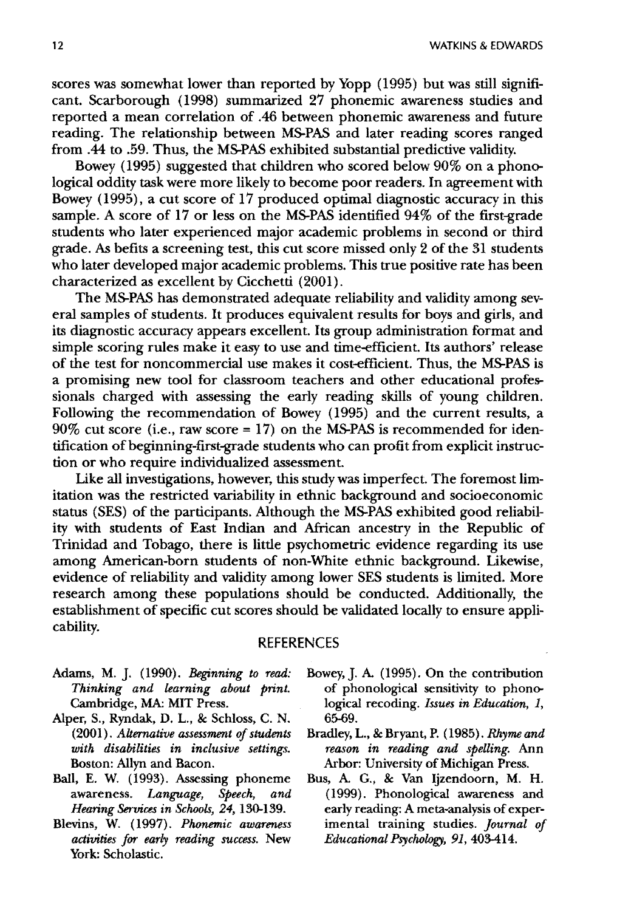scores was somewhat lower than reported by Yopp (1995) but was still significant. Scarborough (1998) summarized 27 phonemic awareness studies and reported a mean correlation of .46 between phonemic awareness and future reading. The relationship between MS-PAS and later reading scores ranged from .44 to .59. Thus, the MS-PAS exhibited substantial predictive validity.

Bowey (1995) suggested that children who scored below 90% on a phonological oddity task were more likely to become poor readers. In agreement with Bowey (1995), a cut score of 17 produced optimal diagnostic accuracy in this sample. A score of 17 or less on the MS-PAS identified 94% of the first-grade students who later experienced major academic problems in second or third grade. As befits a screening test, this cut score missed only 2 of the 31 students who later developed major academic problems. This true positive rate has been characterized as excellent by Cicchetti (2001).

The MS-PAS has demonstrated adequate reliability and validity among several samples of students. It produces equivalent results for boys and girls, and its diagnostic accuracy appears excellent. Its group administration format and simple scoring rules make it easy to use and time-efficient. Its authors' release of the test for noncommercial use makes it cost-efficient. Thus, the MS-PAS is a promising new tool for classroom teachers and other educational professionals charged with assessing the early reading skills of young children. Following the recommendation of Bowey (1995) and the current results, a 90% cut score (i.e., raw score = 17) on the MS-PAS is recommended for identification of beginning-first-grade students who can profit from explicit instruction or who require individualized assessment.

Like all investigations, however, this study was imperfect. The foremost limitation was the restricted variability in ethnic background and socioeconomic status (SES) of the participants. Although the MS-PAS exhibited good reliability with students of East Indian and African ancestry in the Republic of Trinidad and Tobago, there is little psychometric evidence regarding its use among American-born students of non-White ethnic background. Likewise, evidence of reliability and validity among lower SES students is limited. More research among these populations should be conducted. Additionally, the establishment of specific cut scores should be validated locally to ensure applicability.

#### REFERENCES

- Adams, M. J. (1990). *Beginning to read: Thinking and learning about print.*  Cambridge, MA: MIT Press.
- Alper, S., Ryndak, D. L., & Schloss, C. N. (2001). *Alternative assessment of students with disabilities in inclusive settings.*  Boston: Allyn and Bacon.
- Ball, E. W. (1993). Assessing phoneme awareness. *Language, Speech, and Hearing Services in Schools,* 24, 130-139.
- Blevins, W. ( 1997) . *Phonemic awareness activities for early reading success.* New York: Scholastic.
- Bowey, J. A (1995). On the contribution of phonological sensitivity to phonological recoding. *Issues in Education, 1,*  65-69.
- Bradley, L., & Bryant, P. (1985). *Rhyme and reason in reading and spelling.* Ann Arbor: University of Michigan Press.
- Bus, A G., & Van Ijzendoorn, M. H. (1999). Phonological awareness and early reading: A meta-analysis of experimental training studies. *Journal of Educational Psychology,* 91,403-414.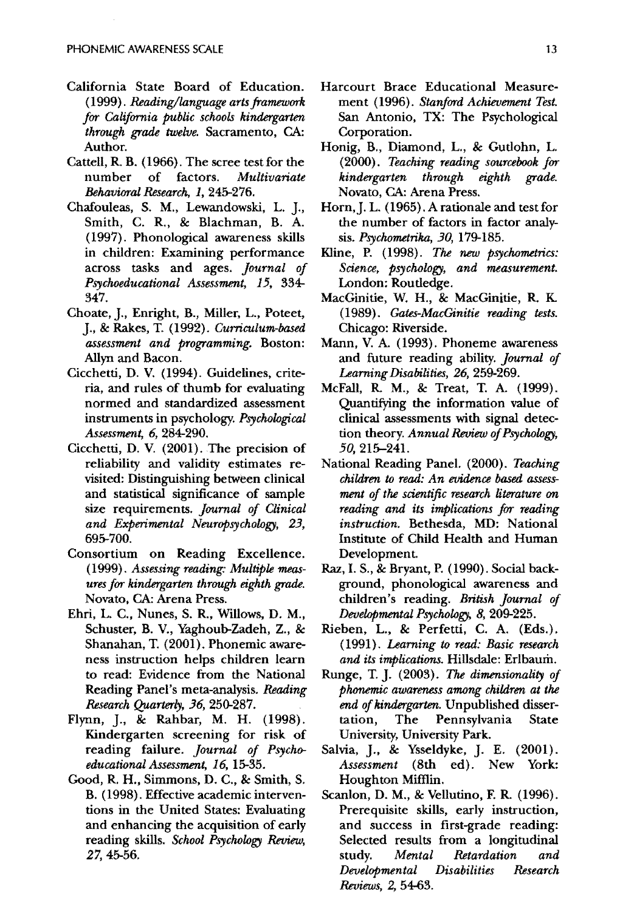- California State Board of Education. *(1999). Reading/language arts framework far Califarnia public schools kindergarten thraugh grade twelve.* Sacramento, CA: Author.
- Cattell, R. B. (1966). The scree test for the number of factors. *Multivariate &haviaral Research,* 1, 245-276.
- Chafouleas, S. M., Lewandowski, L. j., Smith, C. R., & Blachman, B. A. (1997). Phonological awareness skills in children: Examining performance across tasks and ages. *Journal of Psychoeducational Assessment,* 15, 334- 347.
- Choate, J., Enright, B., Miller, L., Poteet, j., & Rakes, T. (1992). *Curriculum-based assessment and programming.* Boston: Allyn and Bacon.
- Cicchetti, D. V. (1994). Guidelines, criteria, and rules of thumb for evaluating normed and standardized assessment instruments in psychology. *Psychological Assessment,* 6,284-290.
- Cicchetti, D. V. (2001). The precision of reliability and validity estimates revisited: Distinguishing hetween clinical and statistical significance of sample size requirements. *Jaurnal of Clinical and Experimental Neuropsychology,* 23, 695-700.
- Consortium on Reading Excellence. *(1999). Assessing reading: Multiple measures far kindergarten thraugh eighth grade.*  Novato, CA: Arena Press.
- Ehri, L. C., Nunes, S. R., Willows, D. M., Schuster, B. V., Yaghoub-Zadeh, Z., & Shanahan, T. (2001). Phonemic awareness instruction helps children learn to read: Evidence from the National Reading Panel's meta-analysis. *Reading Research Quarterly,* 36, 250-287.
- Flynn, ]., & Rahbar, M. H. (1998). Kindergarten screening for risk of reading failure. *Journal of Psychoeducational Assessment,* 16, 15-35.
- Good, R. H., Simmons, D. C., & Smith, S. B. (1998). Effective academic interventions in the United States: Evaluating and enhancing the acquisition of early reading skills. *School Psychology Review,*  27,45-56.
- Harcourt Brace Educational Measurement (1996). *Stanfard Achievement Test.*  San Antonio, TX: The Psychological Corporation.
- Honig, B., Diamond, L., & Gutlohn, L. (2000). *Teaching reading saurcebook far kindergarten through eighth grade.*  Novato, CA: Arena Press.
- Horn,]. L. (1965). A rationale and test for the number of factors in factor analysis. *Psychometrika,* 30, 179-185.
- Kline, P. (1998). *The new psychometrics: Science, psychology, and measurement.*  London: Routledge.
- MacGinitie, W. H., & MacGinitie, R. K. (1989). *Gates-MacGinitie reading tests.*  Chicago: Riverside.
- Mann, V. A. (1993). Phoneme awareness and future reading ability. *Jaurnal of Learning Disabilities,* 26, 259-269.
- McFall, R. M., & Treat, T. A. (1999). Quantifying the information value of clinical assessments with signal detection theory. *Annual* Review *of Psychology,*  50, 215-241.
- National Reading Panel. (2000). *Teaching children to read: An evidence based assessment of the scientific mearch literature on reading and its implications far reading instruction.* Bethesda, MD: National Institute of Child Health and Human Development.
- Raz,1. S., & Bryant, P. (1990). Social background, phonological awareness and children's reading. *British Jaurnal of Developmental Psychology,* 8, 209-225.
- Rieben, L., & Perfetti, C. A. (Eds.). ( 1991). *Learning to read: Basic mearch and its implications.* Hillsdale: Erlbaum.
- Runge, T.]. (2003). The *dimensionality of phonemic awareness among children at the end of kindergarten.* Unpublished dissertation, The Pennsylvania State University, University Park.
- Salvia, J., & Ysseldyke, ]. E. (2001). *Assessment* (8th ed). New York: Houghton Mifflin.
- Scanlon, D. M., & Vellutino, F. R. (1996). Prerequisite skills, early instruction, and success in first-grade reading: Selected results from a longitudinal study. *Mental Retardation and Developmental Disabilities Research Reviews,* 2,54-63.